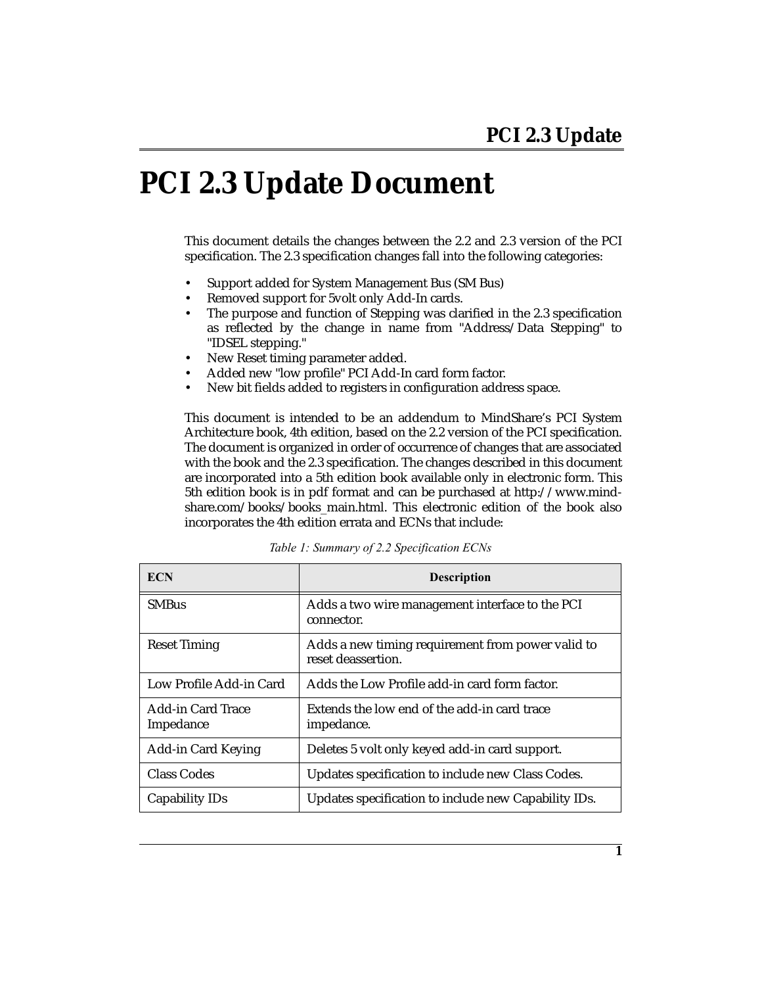## **PCI 2.3 Update Document**

This document details the changes between the 2.2 and 2.3 version of the PCI specification. The 2.3 specification changes fall into the following categories:

- Support added for System Management Bus (SM Bus)
- Removed support for 5volt only Add-In cards.
- The purpose and function of Stepping was clarified in the 2.3 specification as reflected by the change in name from "Address/Data Stepping" to "IDSEL stepping."
- New Reset timing parameter added.
- Added new "low profile" PCI Add-In card form factor.
- New bit fields added to registers in configuration address space.

This document is intended to be an addendum to MindShare's PCI System Architecture book, 4th edition, based on the 2.2 version of the PCI specification. The document is organized in order of occurrence of changes that are associated with the book and the 2.3 specification. The changes described in this document are incorporated into a 5th edition book available only in electronic form. This 5th edition book is in pdf format and can be purchased at http://www.mindshare.com/books/books\_main.html. This electronic edition of the book also incorporates the 4th edition errata and ECNs that include:

| <b>ECN</b>                     | <b>Description</b>                                                      |
|--------------------------------|-------------------------------------------------------------------------|
| <b>SMBus</b>                   | Adds a two wire management interface to the PCI<br>connector.           |
| <b>Reset Timing</b>            | Adds a new timing requirement from power valid to<br>reset deassertion. |
| Low Profile Add-in Card        | Adds the Low Profile add-in card form factor.                           |
| Add-in Card Trace<br>Impedance | Extends the low end of the add-in card trace<br>impedance.              |
| Add-in Card Keying             | Deletes 5 volt only keyed add-in card support.                          |
| <b>Class Codes</b>             | Updates specification to include new Class Codes.                       |
| Capability IDs                 | Updates specification to include new Capability IDs.                    |

*Table 1: Summary of 2.2 Specification ECNs*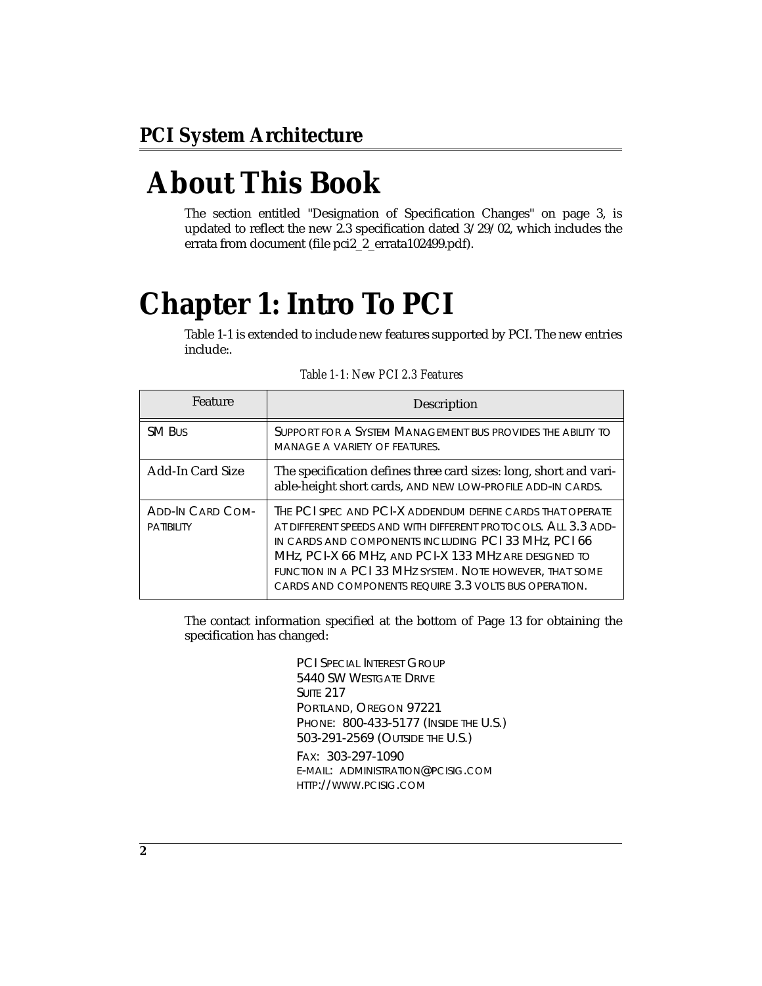# **About This Book**

The section entitled "Designation of Specification Changes" on page 3, is updated to reflect the new 2.3 specification dated 3/29/02, which includes the errata from document (file pci2\_2\_errata102499.pdf).

# **Chapter 1: Intro To PCI**

Table 1-1 is extended to include new features supported by PCI. The new entries include:.

| Feature                               | Description                                                                                                                                                                                                                                                                                                                                                      |
|---------------------------------------|------------------------------------------------------------------------------------------------------------------------------------------------------------------------------------------------------------------------------------------------------------------------------------------------------------------------------------------------------------------|
| <b>SM Bus</b>                         | SUPPORT FOR A SYSTEM MANAGEMENT BUS PROVIDES THE ABILITY TO<br><b>MANAGE A VARIETY OF FEATURES.</b>                                                                                                                                                                                                                                                              |
| Add-In Card Size                      | The specification defines three card sizes: long, short and vari-<br>able-height short cards, AND NEW LOW-PROFILE ADD-IN CARDS.                                                                                                                                                                                                                                  |
| <b>ADD-IN CARD COM-</b><br>PATIBILITY | THE PCI SPEC AND PCI-X ADDENDUM DEFINE CARDS THAT OPERATE<br>AT DIFFERENT SPEEDS AND WITH DIFFERENT PROTOCOLS. ALL 3.3 ADD-<br>IN CARDS AND COMPONENTS INCLUDING PCI 33 MHZ, PCI 66<br>MHZ, PCI-X 66 MHZ, AND PCI-X 133 MHZ ARE DESIGNED TO<br>FUNCTION IN A PCI 33 MHZ SYSTEM. NOTE HOWEVER, THAT SOME<br>CARDS AND COMPONENTS REQUIRE 3.3 VOLTS BUS OPERATION. |

#### *Table 1-1: New PCI 2.3 Features*

The contact information specified at the bottom of Page 13 for obtaining the specification has changed:

> *PCI SPECIAL INTEREST GROUP 5440 SW WESTGATE DRIVE SUITE 217 PORTLAND, OREGON 97221 PHONE: 800-433-5177 (INSIDE THE U.S.) 503-291-2569 (OUTSIDE THE U.S.)*

*FAX: 303-297-1090 E-MAIL: ADMINISTRATION@PCISIG.COM HTTP://WWW.PCISIG.COM*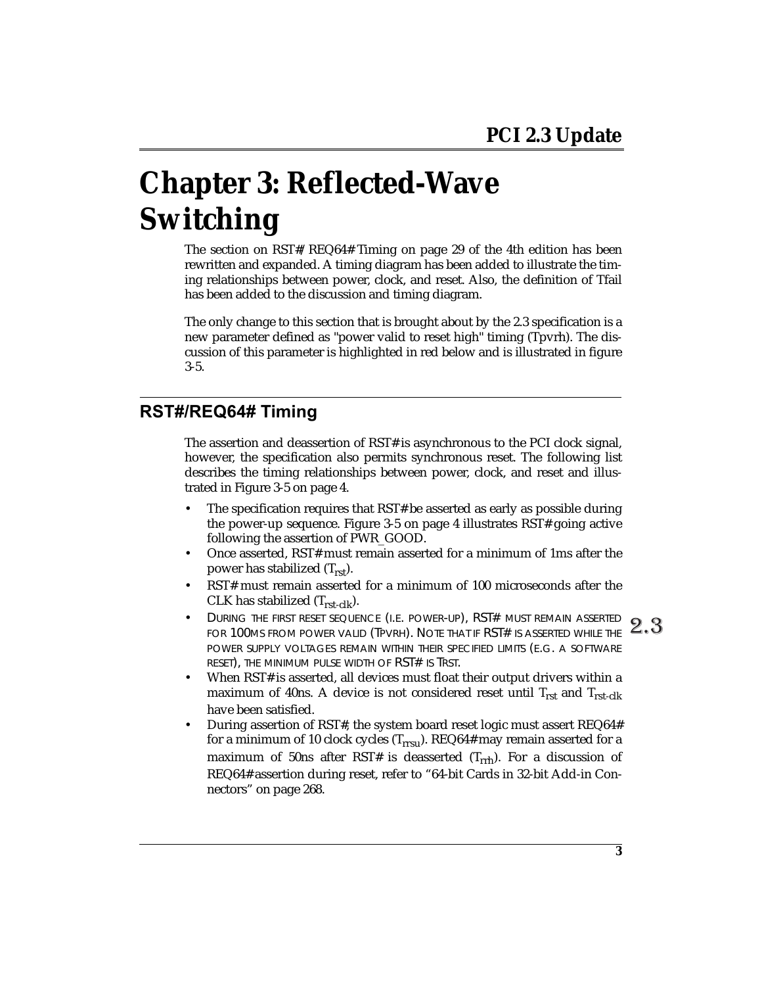# **Chapter 3: Reflected-Wave Switching**

The section on RST#/REQ64# Timing on page 29 of the 4th edition has been rewritten and expanded. A timing diagram has been added to illustrate the timing relationships between power, clock, and reset. Also, the definition of Tfail has been added to the discussion and timing diagram.

The only change to this section that is brought about by the 2.3 specification is a new parameter defined as "power valid to reset high" timing (Tpvrh). The discussion of this parameter is highlighted in red below and is illustrated in figure 3-5.

#### **RST#/REQ64# Timing**

The assertion and deassertion of RST# is asynchronous to the PCI clock signal, however, the specification also permits synchronous reset. The following list describes the timing relationships between power, clock, and reset and illustrated in Figure 3-5 on page 4.

- The specification requires that RST# be asserted as early as possible during the power-up sequence. Figure 3-5 on page 4 illustrates RST# going active following the assertion of PWR\_GOOD.
- Once asserted, RST# must remain asserted for a minimum of 1ms after the power has stabilized  $(T_{rst})$ .
- RST# must remain asserted for a minimum of 100 microseconds after the CLK has stabilized  $(T_{rst-clk})$ .
- *DURING THE FIRST RESET SEQUENCE (I.E. POWER-UP), RST# MUST REMAIN ASSERTED FOR 100MS FROM POWER VALID (TPVRH). NOTE THAT IF RST# IS ASSERTED WHILE THE POWER SUPPLY VOLTAGES REMAIN WITHIN THEIR SPECIFIED LIMITS (E.G. A SOFTWARE RESET), THE MINIMUM PULSE WIDTH OF RST# IS TRST.* 2.3
- When RST# is asserted, all devices must float their output drivers within a maximum of 40ns. A device is not considered reset until  $T_{rst}$  and  $T_{rst-clk}$ have been satisfied.
- During assertion of RST#, the system board reset logic must assert REQ64# for a minimum of 10 clock cycles  $(T_{rrsu})$ . REQ64# may remain asserted for a maximum of 50ns after RST# is deasserted  $(T_{rrh})$ . For a discussion of REQ64# assertion during reset, refer to "64-bit Cards in 32-bit Add-in Connectors" on page 268.

**3**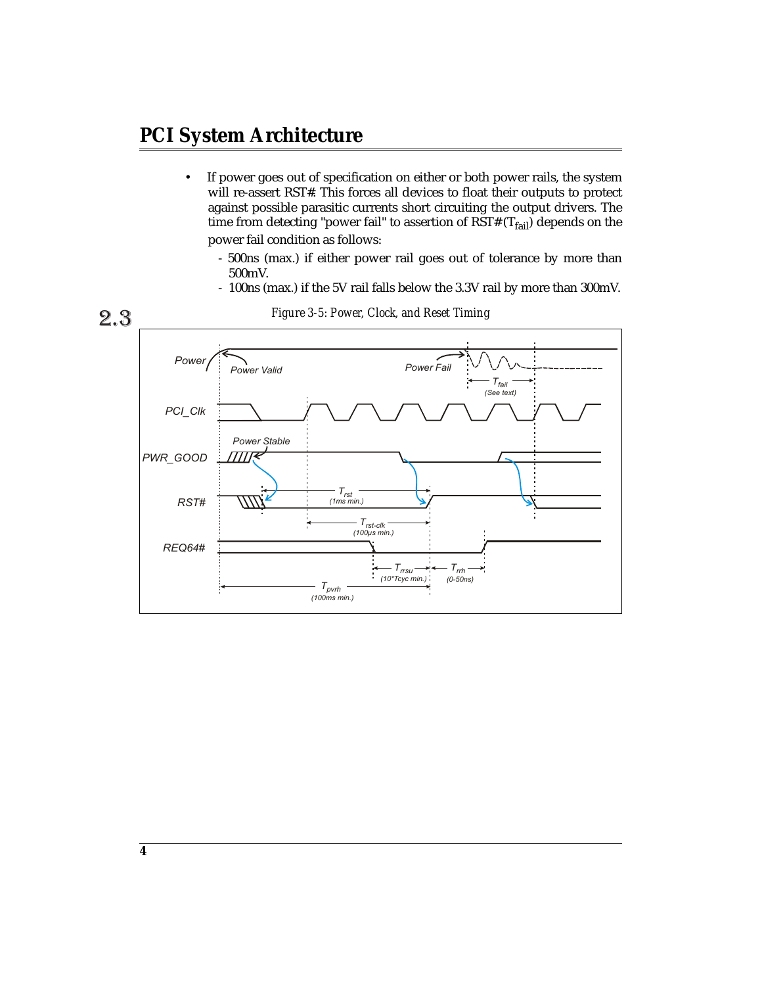- If power goes out of specification on either or both power rails, the system will re-assert RST#. This forces all devices to float their outputs to protect against possible parasitic currents short circuiting the output drivers. The time from detecting "power fail" to assertion of RST#  $(T_{fail})$  depends on the power fail condition as follows:
	- 500ns (max.) if either power rail goes out of tolerance by more than 500mV.
	- 100ns (max.) if the 5V rail falls below the 3.3V rail by more than 300mV.

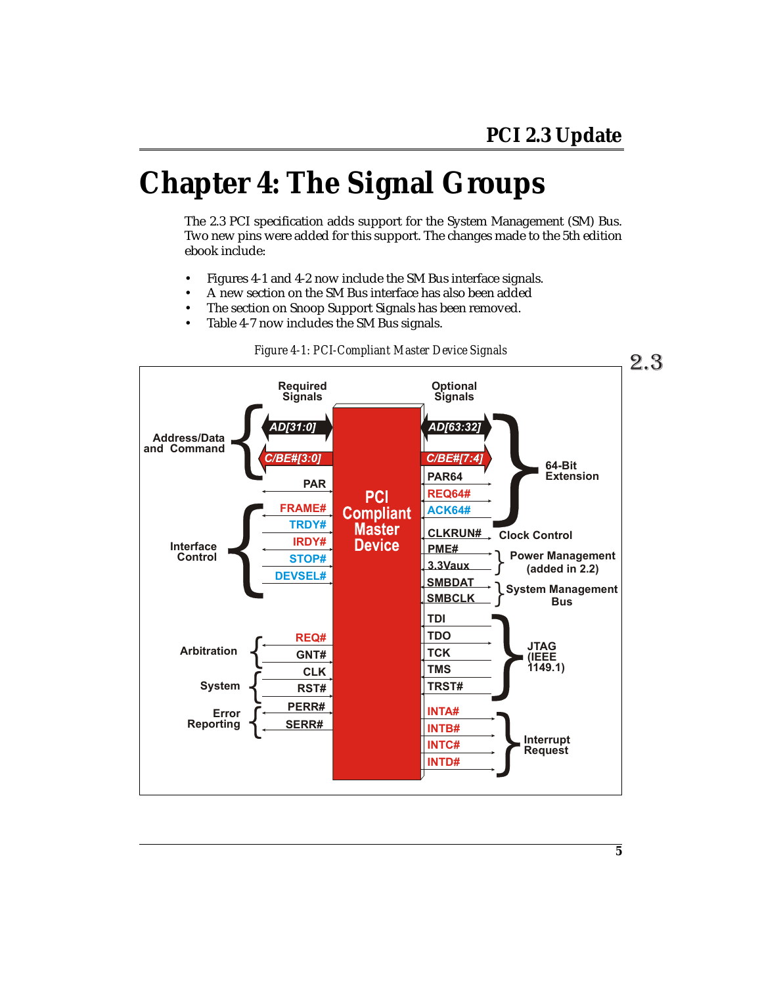# **Chapter 4: The Signal Groups**

The 2.3 PCI specification adds support for the System Management (SM) Bus. Two new pins were added for this support. The changes made to the 5th edition ebook include:

- Figures 4-1 and 4-2 now include the SM Bus interface signals.
- A new section on the SM Bus interface has also been added
- The section on Snoop Support Signals has been removed.
- Table 4-7 now includes the SM Bus signals.

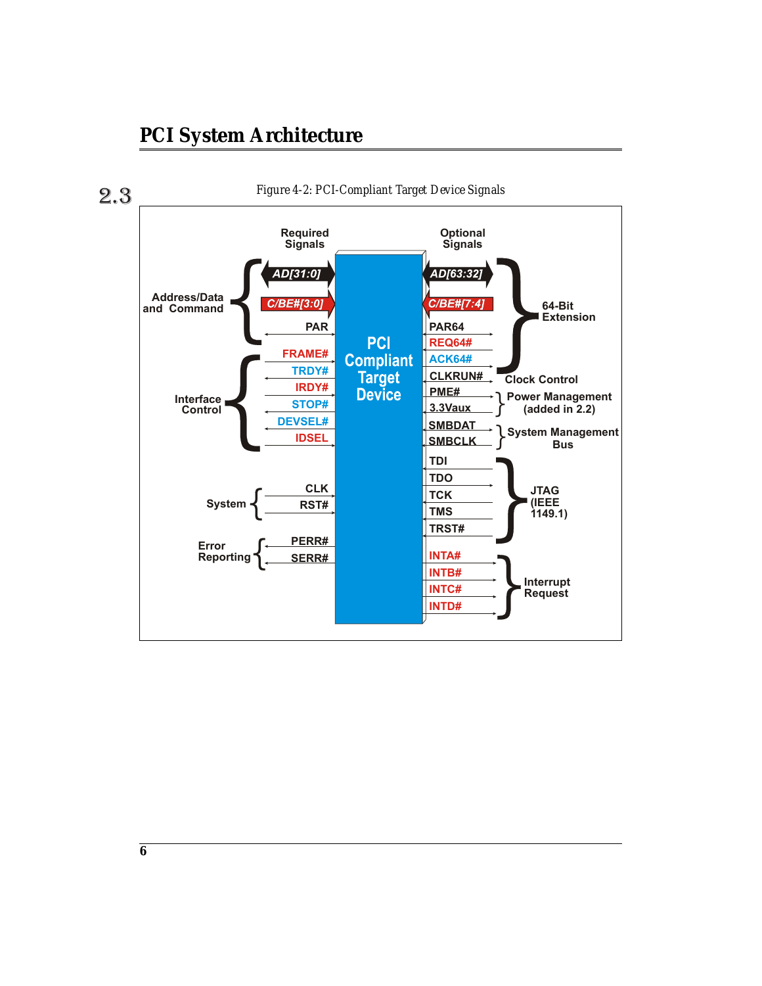### **PCI System Architecture**

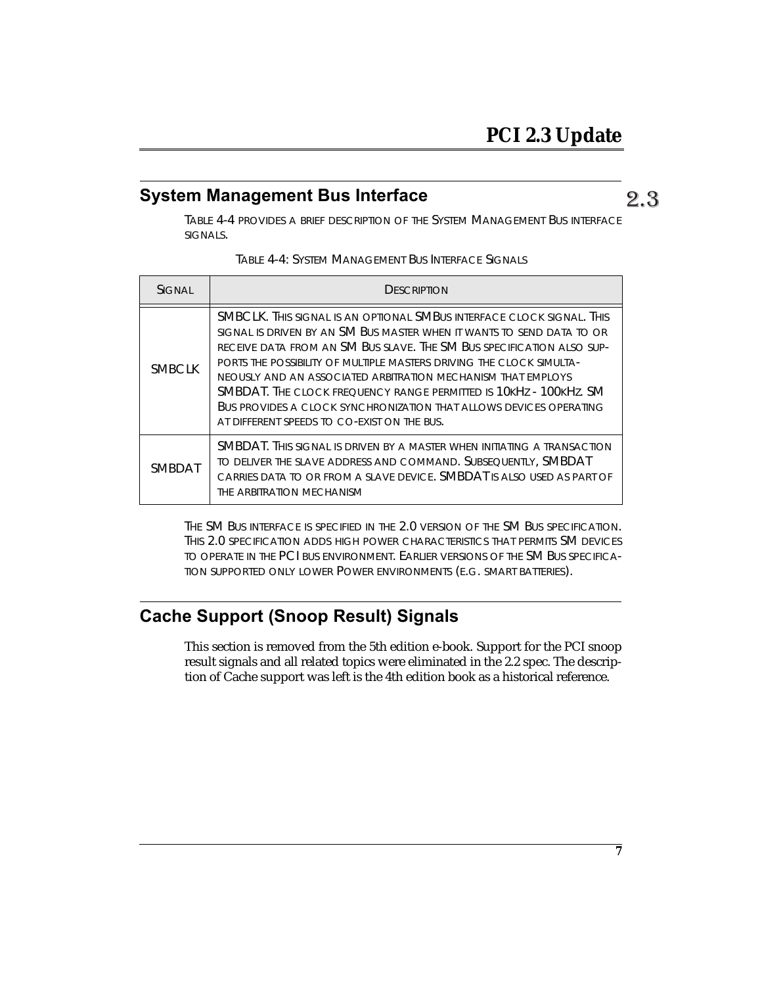#### **System Management Bus Interface**

*[TABLE](#page-6-0) 4-4 PROVIDES A BRIEF DESCRIPTION OF THE SYSTEM MANAGEMENT BUS INTERFACE SIGNALS.*

*TABLE 4-4: SYSTEM MANAGEMENT BUS INTERFACE SIGNALS*

<span id="page-6-0"></span>

| SIGNAL        | l )escription                                                                                                                                                                                                                                                                                                                                                                                                                                                                                                                                                    |
|---------------|------------------------------------------------------------------------------------------------------------------------------------------------------------------------------------------------------------------------------------------------------------------------------------------------------------------------------------------------------------------------------------------------------------------------------------------------------------------------------------------------------------------------------------------------------------------|
| <b>SMBCIK</b> | <b>SMBCLK.</b> This signal is an optional SMBus interface clock signal. This<br>SIGNAL IS DRIVEN BY AN SM BUS MASTER WHEN IT WANTS TO SEND DATA TO OR<br>receive data from an SM Bus slave. The SM Bus specification also sup-<br>PORTS THE POSSIBILITY OF MULTIPLE MASTERS DRIVING THE CLOCK SIMULTA-<br>NEOUSLY AND AN ASSOCIATED ARBITRATION MECHANISM THAT EMPLOYS<br>SMBDAT. The clock erequency range permitted is 10kHz - 100kHz. SM<br>Bus provides a clock synchronization that allows devices operating<br>AT DIFFERENT SPEEDS TO CO-EXIST ON THE BUS. |
| SMBDAT        | SMBDAT. This signal is driven by a master when initiating a transaction<br>to deliver the slave address and command. Subsequently, SMBDAT<br>CARRIES DATA TO OR FROM A SLAVE DEVICE. SMBDAT IS ALSO USED AS PART OF<br>THE ARBITRATION MECHANISM                                                                                                                                                                                                                                                                                                                 |

*THE SM BUS INTERFACE IS SPECIFIED IN THE 2.0 VERSION OF THE SM BUS SPECIFICATION. THIS 2.0 SPECIFICATION ADDS HIGH POWER CHARACTERISTICS THAT PERMITS SM DEVICES TO OPERATE IN THE PCI BUS ENVIRONMENT. EARLIER VERSIONS OF THE SM BUS SPECIFICA-TION SUPPORTED ONLY LOWER POWER ENVIRONMENTS (E.G. SMART BATTERIES).* 

### **Cache Support (Snoop Result) Signals**

This section is removed from the 5th edition e-book. Support for the PCI snoop result signals and all related topics were eliminated in the 2.2 spec. The description of Cache support was left is the 4th edition book as a historical reference.

2.3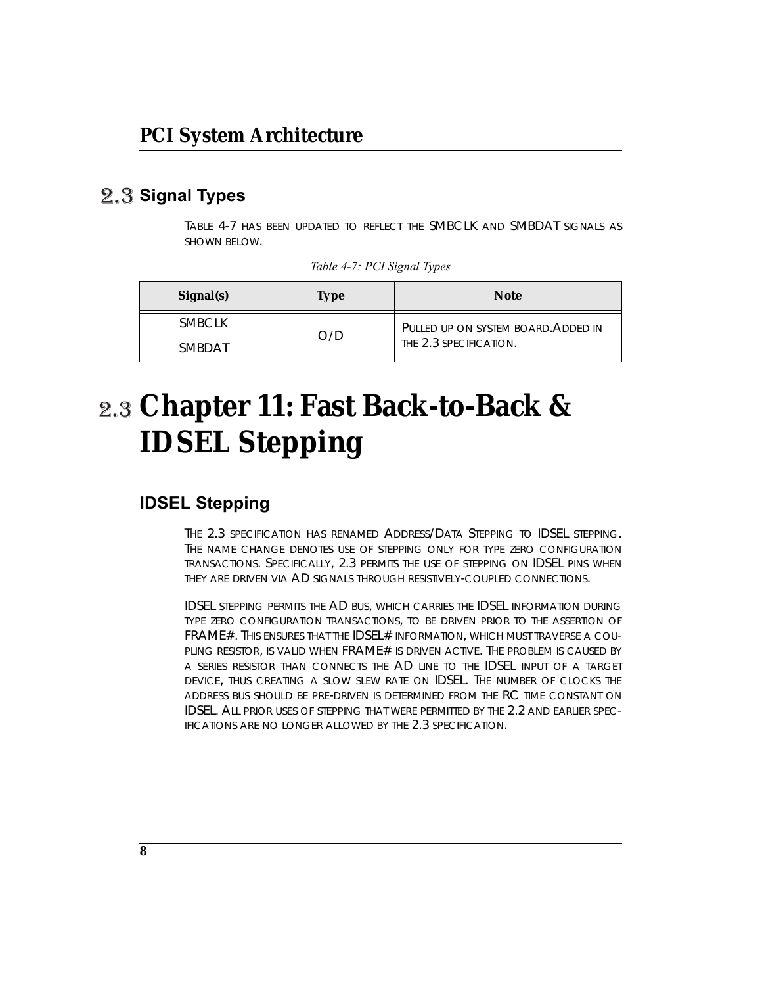### **Signal Types** 2.3

*TABLE 4-7 HAS BEEN UPDATED TO REFLECT THE SMBCLK AND SMBDAT SIGNALS AS SHOWN BELOW.*

| Table 4-7: PCI Signal Types |  |  |  |  |
|-----------------------------|--|--|--|--|
|-----------------------------|--|--|--|--|

| Signal(s)     | Type | <b>Note</b>                         |
|---------------|------|-------------------------------------|
| <b>SMBCLK</b> | O/D  | PULLED UP ON SYSTEM BOARD. ADDED IN |
| SMBDAT        |      | THE 2.3 SPECIFICATION.              |

# **Chapter 11: Fast Back-to-Back &**  2.3**IDSEL Stepping**

#### **IDSEL Stepping**

*THE 2.3 SPECIFICATION HAS RENAMED ADDRESS/DATA STEPPING TO IDSEL STEPPING. THE NAME CHANGE DENOTES USE OF STEPPING ONLY FOR TYPE ZERO CONFIGURATION TRANSACTIONS. SPECIFICALLY, 2.3 PERMITS THE USE OF STEPPING ON IDSEL PINS WHEN THEY ARE DRIVEN VIA AD SIGNALS THROUGH RESISTIVELY-COUPLED CONNECTIONS.* 

*IDSEL STEPPING PERMITS THE AD BUS, WHICH CARRIES THE IDSEL INFORMATION DURING TYPE ZERO CONFIGURATION TRANSACTIONS, TO BE DRIVEN PRIOR TO THE ASSERTION OF FRAME# . THIS ENSURES THAT THE IDSEL# INFORMATION, WHICH MUST TRAVERSE A COU-PLING RESISTOR, IS VALID WHEN FRAME# IS DRIVEN ACTIVE. THE PROBLEM IS CAUSED BY A SERIES RESISTOR THAN CONNECTS THE AD LINE TO THE IDSEL INPUT OF A TARGET DEVICE, THUS CREATING A SLOW SLEW RATE ON IDSEL. THE NUMBER OF CLOCKS THE ADDRESS BUS SHOULD BE PRE-DRIVEN IS DETERMINED FROM THE RC TIME CONSTANT ON IDSEL. ALL PRIOR USES OF STEPPING THAT WERE PERMITTED BY THE 2.2 AND EARLIER SPEC-IFICATIONS ARE NO LONGER ALLOWED BY THE 2.3 SPECIFICATION.*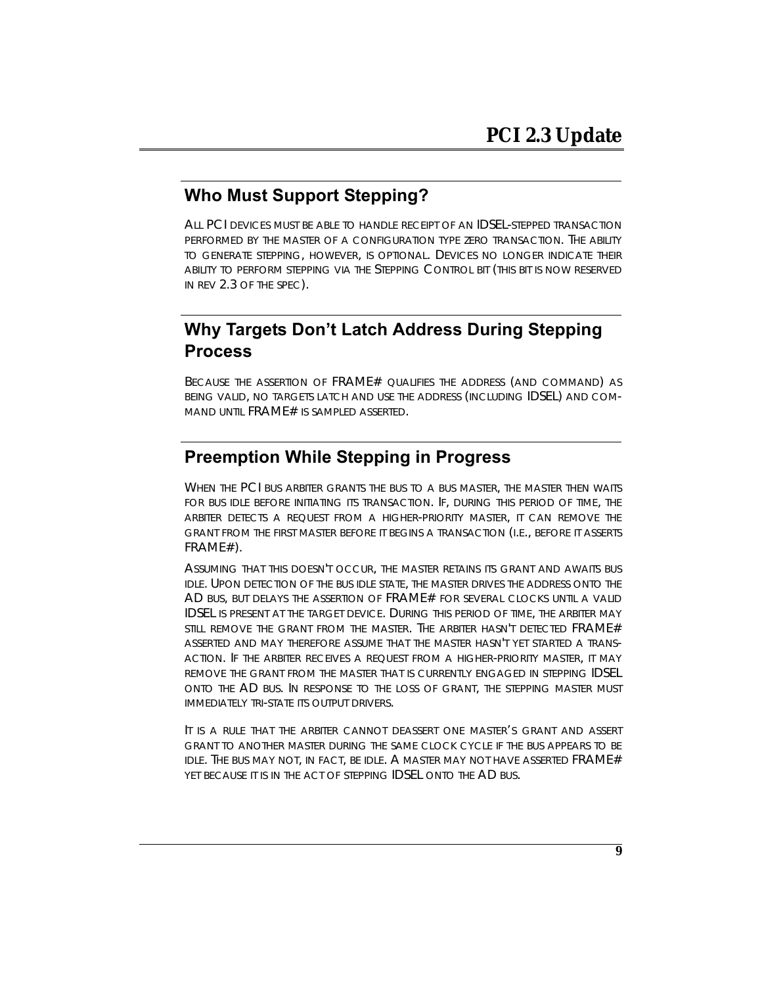#### **Who Must Support Stepping?**

*ALL PCI DEVICES MUST BE ABLE TO HANDLE RECEIPT OF AN IDSEL-STEPPED TRANSACTION PERFORMED BY THE MASTER OF A CONFIGURATION TYPE ZERO TRANSACTION. THE ABILITY TO GENERATE STEPPING, HOWEVER, IS OPTIONAL. DEVICES NO LONGER INDICATE THEIR ABILITY TO PERFORM STEPPING VIA THE STEPPING CONTROL BIT (THIS BIT IS NOW RESERVED IN REV 2.3 OF THE SPEC).* 

### **Why Targets Don't Latch Address During Stepping Process**

*BECAUSE THE ASSERTION OF FRAME# QUALIFIES THE ADDRESS (AND COMMAND) AS BEING VALID, NO TARGETS LATCH AND USE THE ADDRESS (INCLUDING IDSEL) AND COM-MAND UNTIL FRAME# IS SAMPLED ASSERTED.*

#### **Preemption While Stepping in Progress**

*WHEN THE PCI BUS ARBITER GRANTS THE BUS TO A BUS MASTER, THE MASTER THEN WAITS FOR BUS IDLE BEFORE INITIATING ITS TRANSACTION. IF, DURING THIS PERIOD OF TIME, THE ARBITER DETECTS A REQUEST FROM A HIGHER-PRIORITY MASTER, IT CAN REMOVE THE GRANT FROM THE FIRST MASTER BEFORE IT BEGINS A TRANSACTION (I.E., BEFORE IT ASSERTS FRAME# ).*

*ASSUMING THAT THIS DOESN'T OCCUR, THE MASTER RETAINS ITS GRANT AND AWAITS BUS IDLE. UPON DETECTION OF THE BUS IDLE STATE, THE MASTER DRIVES THE ADDRESS ONTO THE AD BUS, BUT DELAYS THE ASSERTION OF FRAME# FOR SEVERAL CLOCKS UNTIL A VALID IDSEL IS PRESENT AT THE TARGET DEVICE. DURING THIS PERIOD OF TIME, THE ARBITER MAY STILL REMOVE THE GRANT FROM THE MASTER. THE ARBITER HASN'T DETECTED FRAME# ASSERTED AND MAY THEREFORE ASSUME THAT THE MASTER HASN'T YET STARTED A TRANS-ACTION. IF THE ARBITER RECEIVES A REQUEST FROM A HIGHER-PRIORITY MASTER, IT MAY REMOVE THE GRANT FROM THE MASTER THAT IS CURRENTLY ENGAGED IN STEPPING IDSEL ONTO THE AD BUS. IN RESPONSE TO THE LOSS OF GRANT, THE STEPPING MASTER MUST IMMEDIATELY TRI-STATE ITS OUTPUT DRIVERS.*

*IT IS A RULE THAT THE ARBITER CANNOT DEASSERT ONE MASTER'S GRANT AND ASSERT GRANT TO ANOTHER MASTER DURING THE SAME CLOCK CYCLE IF THE BUS APPEARS TO BE IDLE. THE BUS MAY NOT, IN FACT, BE IDLE. A MASTER MAY NOT HAVE ASSERTED FRAME# YET BECAUSE IT IS IN THE ACT OF STEPPING IDSEL ONTO THE AD BUS.*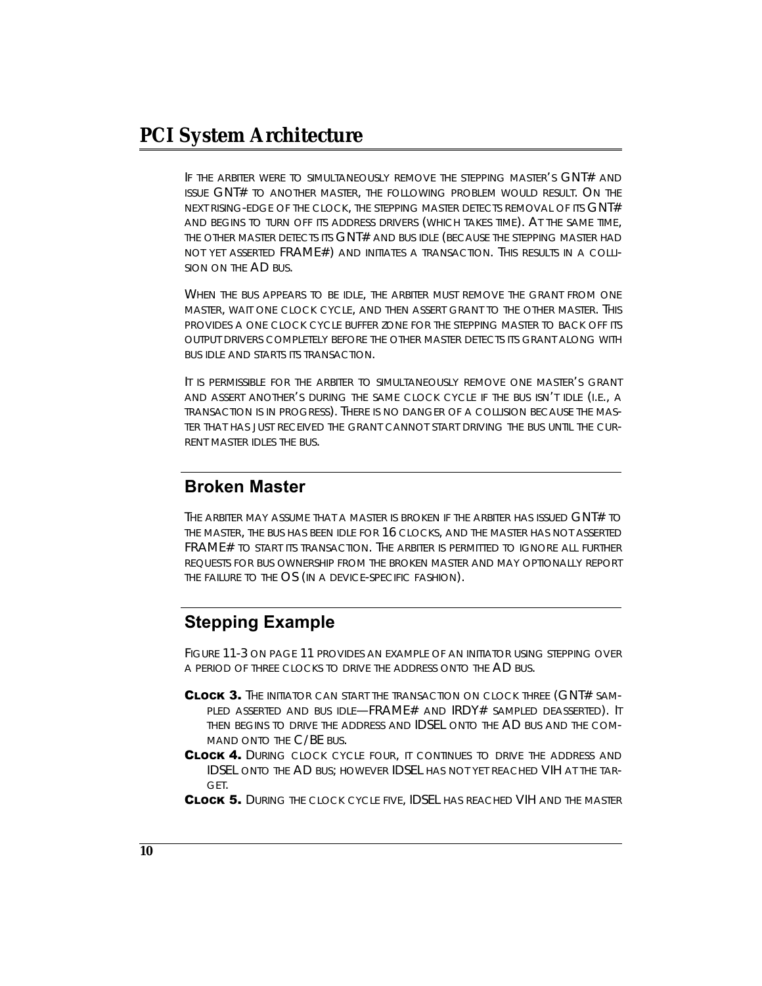*IF THE ARBITER WERE TO SIMULTANEOUSLY REMOVE THE STEPPING MASTER'S GNT# AND ISSUE GNT# TO ANOTHER MASTER, THE FOLLOWING PROBLEM WOULD RESULT. ON THE NEXT RISING-EDGE OF THE CLOCK, THE STEPPING MASTER DETECTS REMOVAL OF ITS GNT# AND BEGINS TO TURN OFF ITS ADDRESS DRIVERS (WHICH TAKES TIME). AT THE SAME TIME, THE OTHER MASTER DETECTS ITS GNT# AND BUS IDLE (BECAUSE THE STEPPING MASTER HAD NOT YET ASSERTED FRAME# ) AND INITIATES A TRANSACTION. THIS RESULTS IN A COLLI-SION ON THE AD BUS.*

*WHEN THE BUS APPEARS TO BE IDLE, THE ARBITER MUST REMOVE THE GRANT FROM ONE MASTER, WAIT ONE CLOCK CYCLE, AND THEN ASSERT GRANT TO THE OTHER MASTER. THIS PROVIDES A ONE CLOCK CYCLE BUFFER ZONE FOR THE STEPPING MASTER TO BACK OFF ITS OUTPUT DRIVERS COMPLETELY BEFORE THE OTHER MASTER DETECTS ITS GRANT ALONG WITH BUS IDLE AND STARTS ITS TRANSACTION.*

*IT IS PERMISSIBLE FOR THE ARBITER TO SIMULTANEOUSLY REMOVE ONE MASTER'S GRANT AND ASSERT ANOTHER'S DURING THE SAME CLOCK CYCLE IF THE BUS ISN'T IDLE (I.E., A TRANSACTION IS IN PROGRESS). THERE IS NO DANGER OF A COLLISION BECAUSE THE MAS-TER THAT HAS JUST RECEIVED THE GRANT CANNOT START DRIVING THE BUS UNTIL THE CUR-RENT MASTER IDLES THE BUS.*

#### **Broken Master**

*THE ARBITER MAY ASSUME THAT A MASTER IS BROKEN IF THE ARBITER HAS ISSUED GNT# TO THE MASTER, THE BUS HAS BEEN IDLE FOR 16 CLOCKS, AND THE MASTER HAS NOT ASSERTED FRAME# TO START ITS TRANSACTION. THE ARBITER IS PERMITTED TO IGNORE ALL FURTHER REQUESTS FOR BUS OWNERSHIP FROM THE BROKEN MASTER AND MAY OPTIONALLY REPORT THE FAILURE TO THE OS (IN A DEVICE-SPECIFIC FASHION).*

### **Stepping Example**

*FIGURE 11-3 ON PAGE 11 PROVIDES AN EXAMPLE OF AN INITIATOR USING STEPPING OVER A PERIOD OF THREE CLOCKS TO DRIVE THE ADDRESS ONTO THE AD BUS.*

- CLOCK 3. *THE INITIATOR CAN START THE TRANSACTION ON CLOCK THREE (GNT# SAM-PLED ASSERTED AND BUS IDLE—FRAME# AND IRDY# SAMPLED DEASSERTED). IT THEN BEGINS TO DRIVE THE ADDRESS AND IDSEL ONTO THE AD BUS AND THE COM-MAND ONTO THE C/BE BUS.*
- CLOCK 4. *DURING CLOCK CYCLE FOUR, IT CONTINUES TO DRIVE THE ADDRESS AND IDSEL ONTO THE AD BUS; HOWEVER IDSEL HAS NOT YET REACHED VIH AT THE TAR-GET.*
- CLOCK 5. *DURING THE CLOCK CYCLE FIVE, IDSEL HAS REACHED VIH AND THE MASTER*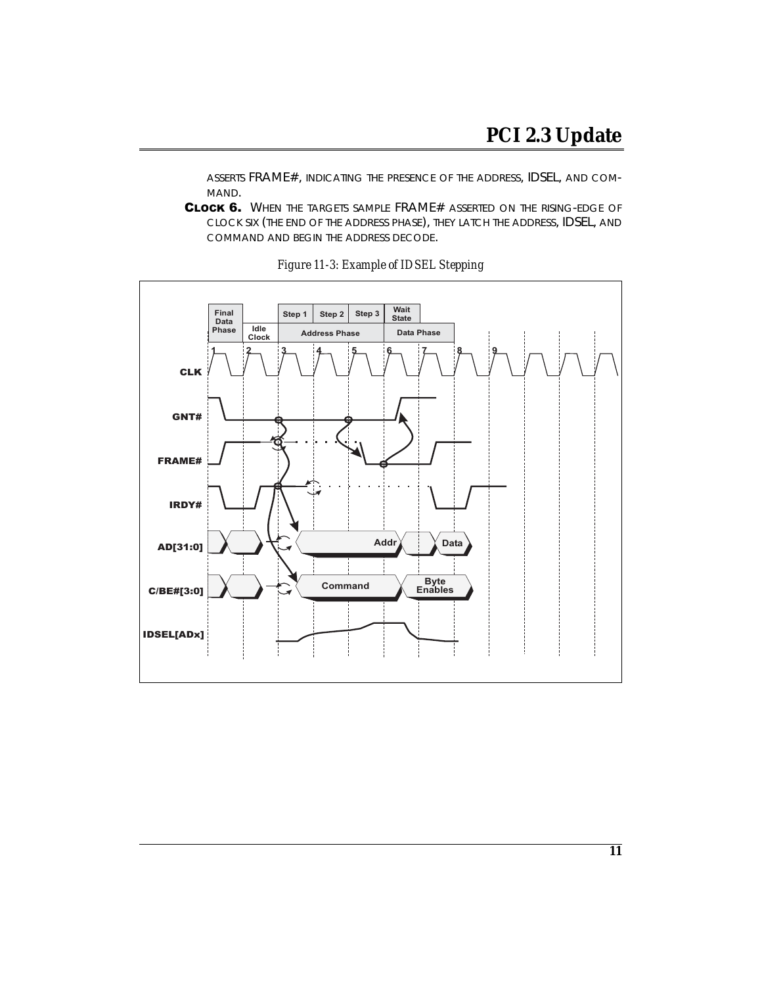*ASSERTS FRAME# , INDICATING THE PRESENCE OF THE ADDRESS, IDSEL, AND COM-MAND.*

CLOCK 6. *WHEN THE TARGETS SAMPLE FRAME# ASSERTED ON THE RISING-EDGE OF CLOCK SIX (THE END OF THE ADDRESS PHASE), THEY LATCH THE ADDRESS, IDSEL, AND COMMAND AND BEGIN THE ADDRESS DECODE.*



*Figure 11-3: Example of IDSEL Stepping*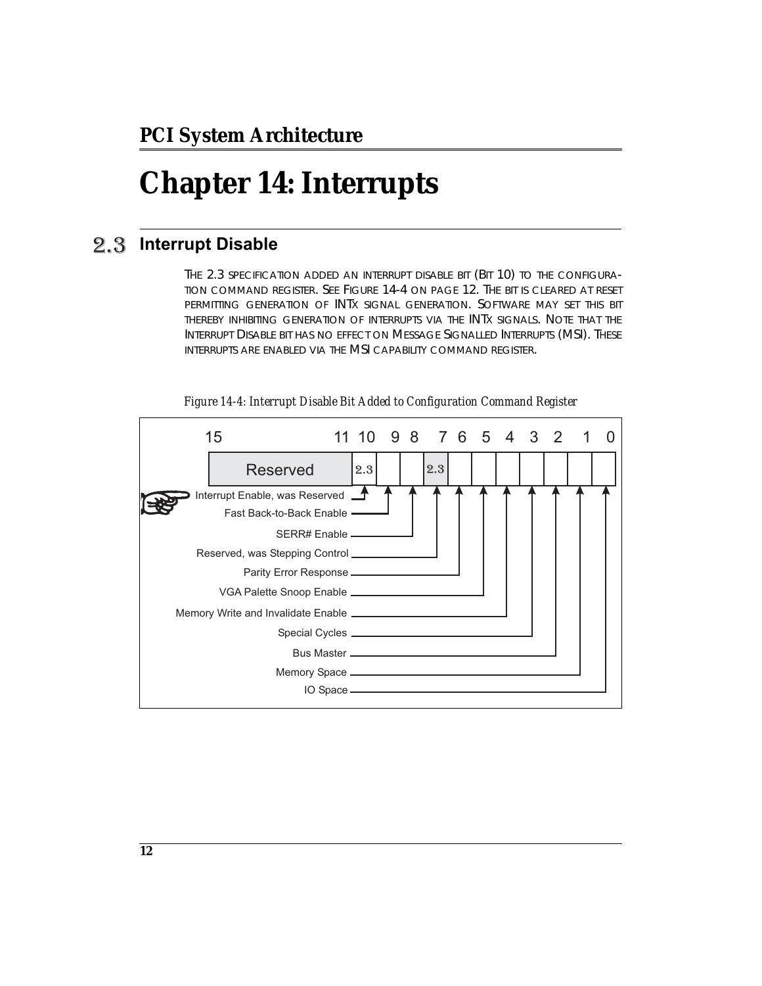# **Chapter 14: Interrupts**

### **Interrupt Disable** 2.3

*THE 2.3 SPECIFICATION ADDED AN INTERRUPT DISABLE BIT (BIT 10) TO THE CONFIGURA-TION COMMAND REGISTER. SEE [FIGURE 14-4 ON](#page-11-0) PAGE 12. THE BIT IS CLEARED AT RESET PERMITTING GENERATION OF INTX SIGNAL GENERATION. SOFTWARE MAY SET THIS BIT THEREBY INHIBITING GENERATION OF INTERRUPTS VIA THE INTX SIGNALS. NOTE THAT THE INTERRUPT DISABLE BIT HAS NO EFFECT ON MESSAGE SIGNALLED INTERRUPTS (MSI). THESE INTERRUPTS ARE ENABLED VIA THE MSI CAPABILITY COMMAND REGISTER.*

<span id="page-11-0"></span>

*Figure 14-4: Interrupt Disable Bit Added to Configuration Command Register*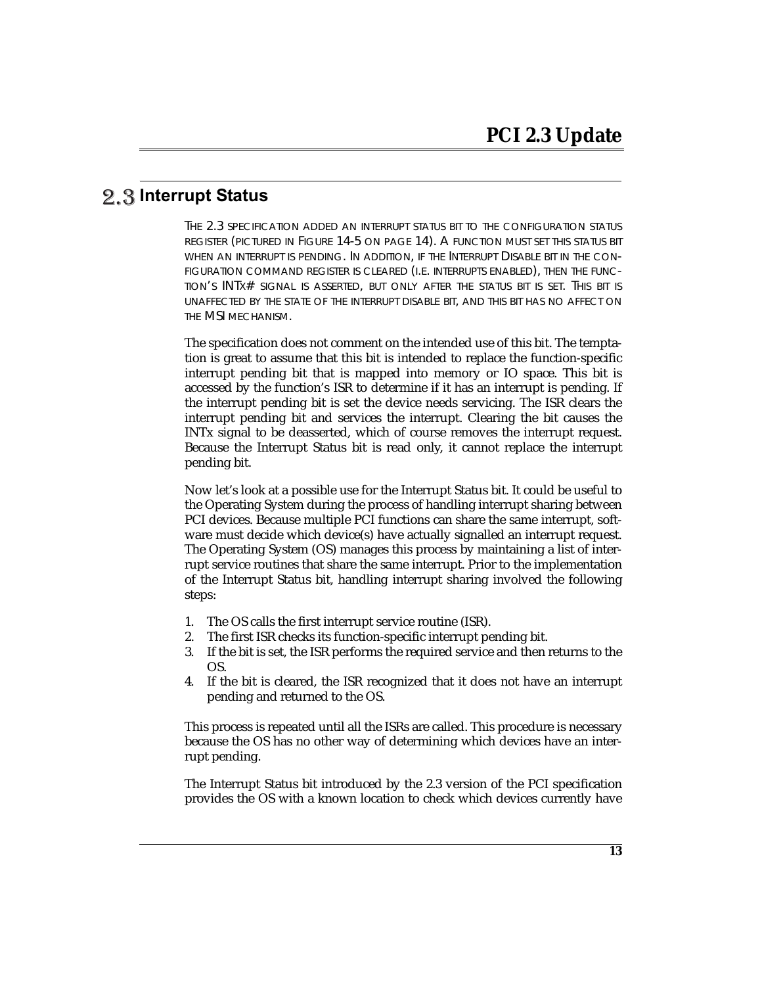### **Interrupt Status** 2.3

*THE 2.3 SPECIFICATION ADDED AN INTERRUPT STATUS BIT TO THE CONFIGURATION STATUS REGISTER (PICTURED IN FIGURE 14-5 ON PAGE 14). A FUNCTION MUST SET THIS STATUS BIT WHEN AN INTERRUPT IS PENDING. IN ADDITION, IF THE INTERRUPT DISABLE BIT IN THE CON-FIGURATION COMMAND REGISTER IS CLEARED (I.E. INTERRUPTS ENABLED), THEN THE FUNC-TION'S INTX# SIGNAL IS ASSERTED, BUT ONLY AFTER THE STATUS BIT IS SET. THIS BIT IS UNAFFECTED BY THE STATE OF THE INTERRUPT DISABLE BIT, AND THIS BIT HAS NO AFFECT ON THE MSI MECHANISM.*

The specification does not comment on the intended use of this bit. The temptation is great to assume that this bit is intended to replace the function-specific interrupt pending bit that is mapped into memory or IO space. This bit is accessed by the function's ISR to determine if it has an interrupt is pending. If the interrupt pending bit is set the device needs servicing. The ISR clears the interrupt pending bit and services the interrupt. Clearing the bit causes the INTx signal to be deasserted, which of course removes the interrupt request. Because the Interrupt Status bit is read only, it cannot replace the interrupt pending bit.

Now let's look at a possible use for the Interrupt Status bit. It could be useful to the Operating System during the process of handling interrupt sharing between PCI devices. Because multiple PCI functions can share the same interrupt, software must decide which device(s) have actually signalled an interrupt request. The Operating System (OS) manages this process by maintaining a list of interrupt service routines that share the same interrupt. Prior to the implementation of the Interrupt Status bit, handling interrupt sharing involved the following steps:

- 1. The OS calls the first interrupt service routine (ISR).
- 2. The first ISR checks its function-specific interrupt pending bit.
- 3. If the bit is set, the ISR performs the required service and then returns to the OS.
- 4. If the bit is cleared, the ISR recognized that it does not have an interrupt pending and returned to the OS.

This process is repeated until all the ISRs are called. This procedure is necessary because the OS has no other way of determining which devices have an interrupt pending.

The Interrupt Status bit introduced by the 2.3 version of the PCI specification provides the OS with a known location to check which devices currently have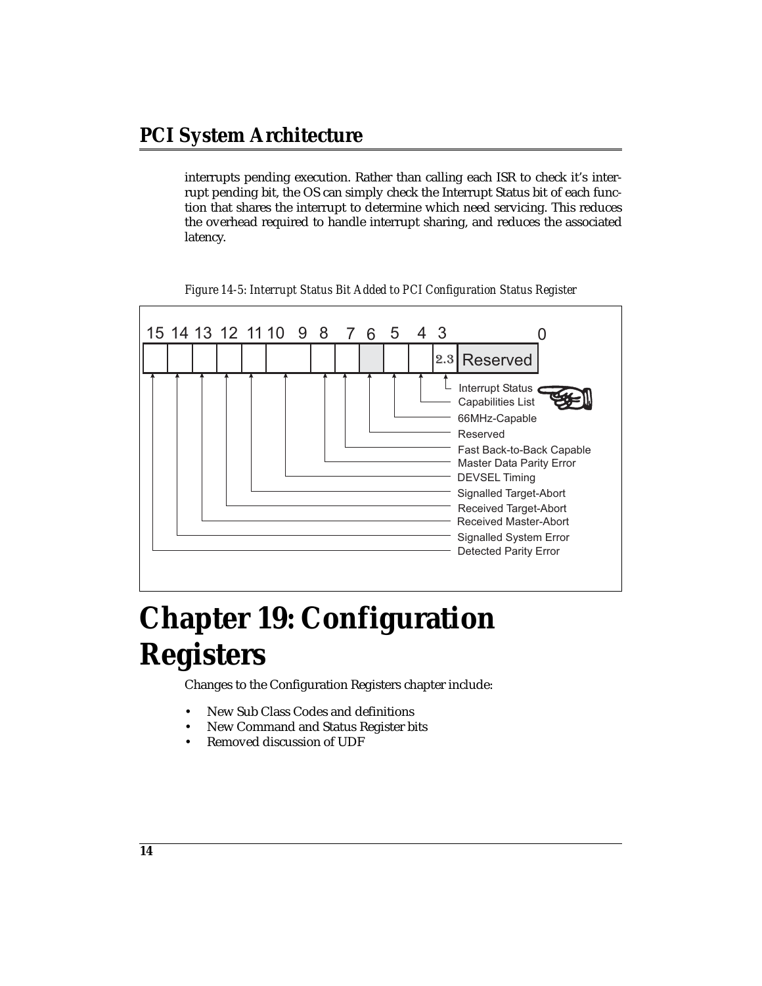interrupts pending execution. Rather than calling each ISR to check it's interrupt pending bit, the OS can simply check the Interrupt Status bit of each function that shares the interrupt to determine which need servicing. This reduces the overhead required to handle interrupt sharing, and reduces the associated latency.



*Figure 14-5: Interrupt Status Bit Added to PCI Configuration Status Register*

# **Chapter 19: Configuration Registers**

Changes to the Configuration Registers chapter include:

- New Sub Class Codes and definitions
- New Command and Status Register bits
- Removed discussion of UDF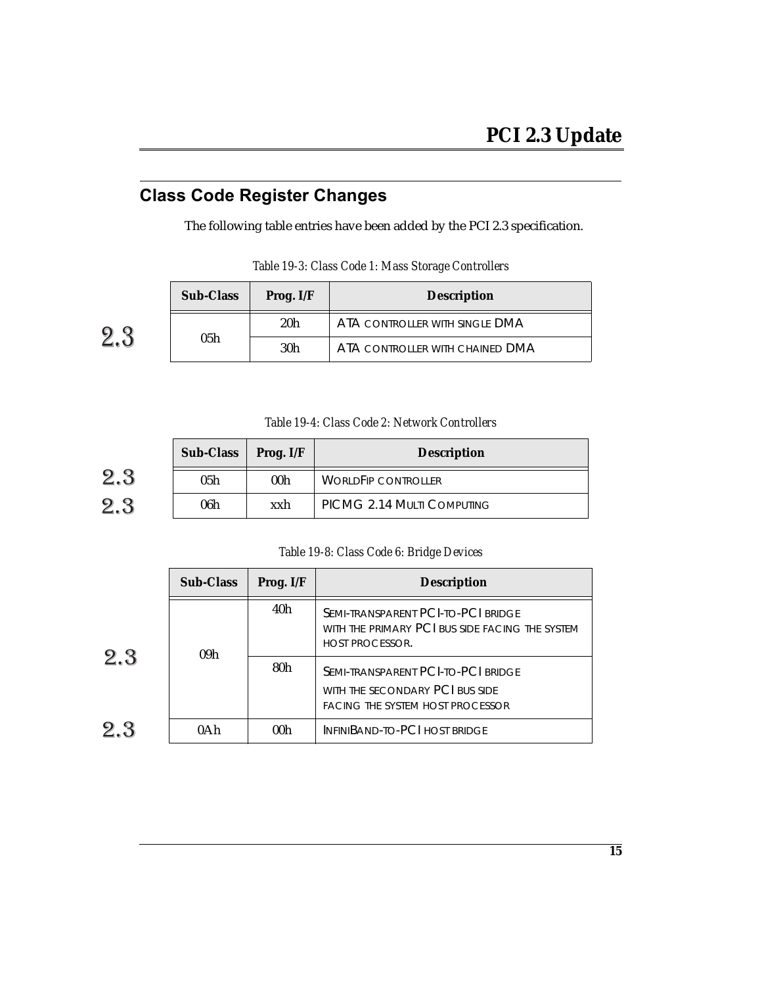#### **Class Code Register Changes**

The following table entries have been added by the PCI 2.3 specification.

|                           | <b>Sub-Class</b> | Prog. $I/F$     | <b>Description</b>              |
|---------------------------|------------------|-----------------|---------------------------------|
| $\boldsymbol{\mathsf{Q}}$ | 05h              | 20 <sub>h</sub> | ATA CONTROLLER WITH SINGLE DMA  |
|                           |                  | 30h             | ATA CONTROLLER WITH CHAINED DMA |

*Table 19-3: Class Code 1: Mass Storage Controllers*

#### *Table 19-4: Class Code 2: Network Controllers*

|                            | <b>Sub-Class</b> | Prog. $I/F$     | <b>Description</b>         |
|----------------------------|------------------|-----------------|----------------------------|
| ୍ଦୁ                        | 05h              | 00 <sub>h</sub> | <b>WORLDFIP CONTROLLER</b> |
| $\boldsymbol{\Omega}$<br>9 | 06h              | xxh             | PICMG 2.14 MULTI COMPUTING |

#### *Table 19-8: Class Code 6: Bridge Devices*

|     | <b>Sub-Class</b> | Prog. $I/F$     | <b>Description</b>                                                                                               |
|-----|------------------|-----------------|------------------------------------------------------------------------------------------------------------------|
| 2.3 | 09 <sub>h</sub>  | 40h             | SEMI-TRANSPARENT PCI-TO-PCI BRIDGE<br>WITH THE PRIMARY PCI BUS SIDE FACING THE SYSTEM<br><b>HOST PROCESSOR.</b>  |
|     |                  | 80 <sub>h</sub> | SEMI-TRANSPARENT PCI-TO-PCI BRIDGE<br>WITH THE SECONDARY PCI BUS SIDE<br><b>FACING THE SYSTEM HOST PROCESSOR</b> |
|     | 0Ah              | 00 <sub>h</sub> | INFINIBAND-TO-PCI HOST BRIDGE                                                                                    |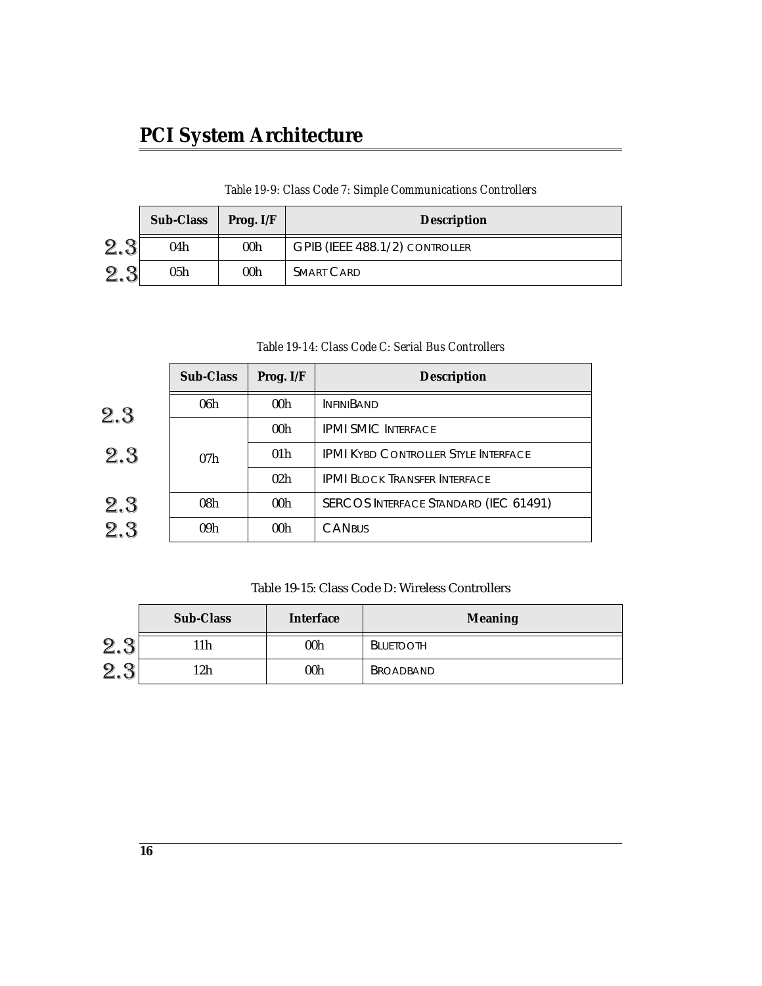|                                | <b>Sub-Class</b> | Prog. $I/F$     | <b>Description</b>             |
|--------------------------------|------------------|-----------------|--------------------------------|
| 2.3                            | 04h              | 00 <sub>h</sub> | GPIB (IEEE 488.1/2) CONTROLLER |
| Q<br>$\boldsymbol{\mathsf{Q}}$ | 05h              | 00 <sub>h</sub> | <b>SMART CARD</b>              |

*Table 19-9: Class Code 7: Simple Communications Controllers*

#### *Table 19-14: Class Code C: Serial Bus Controllers*

|     | <b>Sub-Class</b> | Prog. $I/F$     | <b>Description</b>                          |
|-----|------------------|-----------------|---------------------------------------------|
| 2.3 | 06h              | 00 <sub>h</sub> | <b>INFINIBAND</b>                           |
|     |                  | 00 <sub>h</sub> | <b>IPMI SMIC INTERFACE</b>                  |
| 2.3 | 07 <sub>h</sub>  | 01 <sub>h</sub> | <b>IPMI KYBD CONTROLLER STYLE INTERFACE</b> |
|     |                  | 02h             | <b>IPMI BLOCK TRANSFER INTERFACE</b>        |
| 2.3 | 08 <sub>h</sub>  | 00 <sub>h</sub> | SERCOS INTERFACE STANDARD (IEC 61491)       |
| 2.3 | 09h              | 00 <sub>h</sub> | <b>CANBUS</b>                               |

#### Table 19-15: Class Code D: Wireless Controllers

|                                               | <b>Sub-Class</b> | <b>Interface</b> | <b>Meaning</b>   |
|-----------------------------------------------|------------------|------------------|------------------|
| 2.3                                           | 11h              | 00 <sub>h</sub>  | Bluetooth        |
| $2.\overline{3}$<br>$\boldsymbol{\mathsf{Q}}$ | 12h              | 00 <sub>h</sub>  | <b>BROADBAND</b> |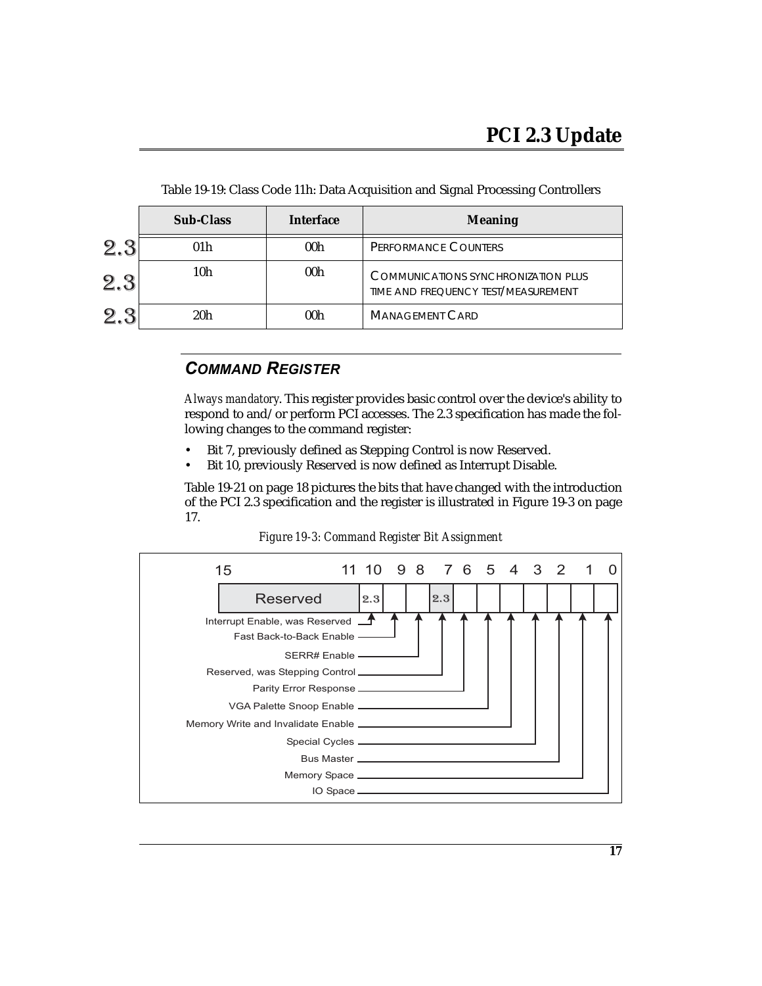|     | <b>Sub-Class</b> | <b>Interface</b> | <b>Meaning</b>                                                                    |
|-----|------------------|------------------|-----------------------------------------------------------------------------------|
| 2.  | 01 <sub>h</sub>  | 00 <sub>h</sub>  | PERFORMANCE COUNTERS                                                              |
| 2.3 | 10 <sub>h</sub>  | 00 <sub>h</sub>  | <b>COMMUNICATIONS SYNCHRONIZATION PLUS</b><br>TIME AND FREQUENCY TEST/MEASUREMENT |
| 2.  | 20 <sub>h</sub>  | 00 <sub>h</sub>  | <b>MANAGEMENT CARD</b>                                                            |

Table 19-19: Class Code 11h: Data Acquisition and Signal Processing Controllers

#### *COMMAND REGISTER*

*Always mandatory*. This register provides basic control over the device's ability to respond to and/or perform PCI accesses. The 2.3 specification has made the following changes to the command register:

- Bit 7, previously defined as Stepping Control is now Reserved.
- Bit 10, previously Reserved is now defined as Interrupt Disable.

Table 19-21 on page 18 pictures the bits that have changed with the introduction of the PCI 2.3 specification and the register is illustrated in Figure 19-3 on page 17.



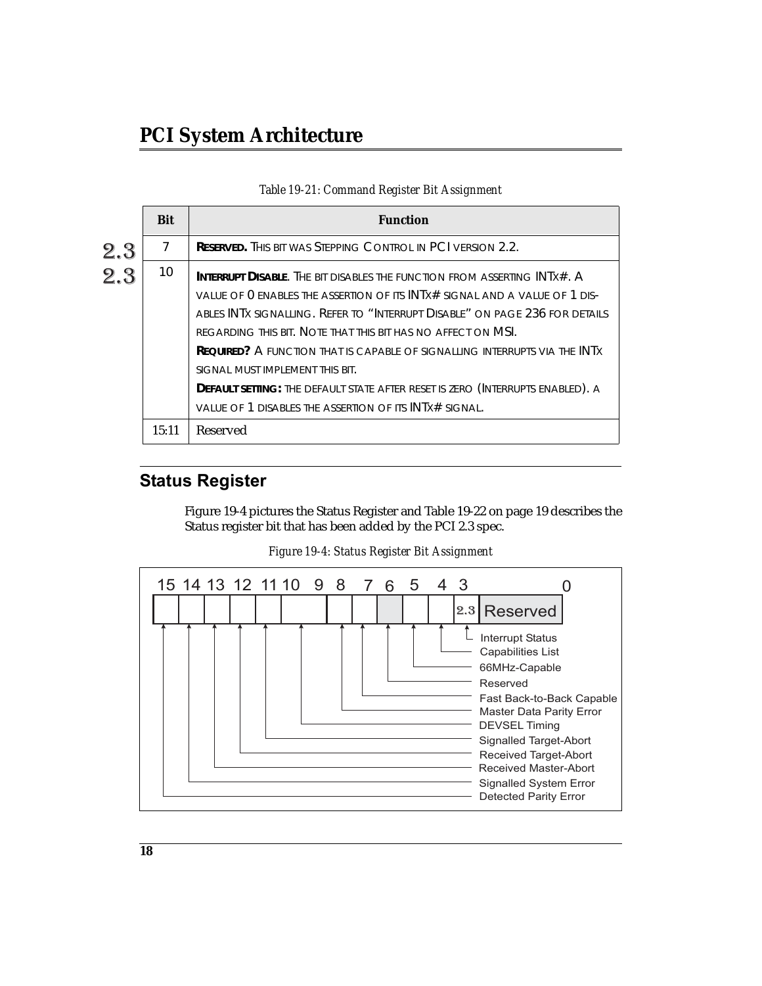|                  | <b>Bit</b> | <b>Function</b>                                                                                                                                                                                                                                                                                                                                                                                                                                                                                                                                                                         |
|------------------|------------|-----------------------------------------------------------------------------------------------------------------------------------------------------------------------------------------------------------------------------------------------------------------------------------------------------------------------------------------------------------------------------------------------------------------------------------------------------------------------------------------------------------------------------------------------------------------------------------------|
| $2.\overline{3}$ | 7          | <b>RESERVED.</b> THIS BIT WAS STEPPING CONTROL IN PCI VERSION 2.2.                                                                                                                                                                                                                                                                                                                                                                                                                                                                                                                      |
|                  | 10         | <b>INTERRUPT DISABLE</b> . THE BIT DISABLES THE FUNCTION FROM ASSERTING INTX#. A<br>VALUE OF 0 ENABLES THE ASSERTION OF ITS INTX# SIGNAL AND A VALUE OF 1 DIS-<br>ABLES INTX SIGNALLING. REFER TO "INTERRUPT DISABLE" ON PAGE 236 FOR DETAILS<br>regarding this rit. Note that this rit has no affect on MSL<br><b>REQUIRED?</b> A FUNCTION THAT IS CAPABLE OF SIGNALLING INTERRUPTS VIA THE INTX<br>SIGNAL MUST IMPLEMENT THIS BIT.<br><b>DEFAULT SETTING:</b> THE DEFAULT STATE AFTER RESET IS ZERO (INTERRUPTS ENABLED). A<br>VALUE OF 1 DISABLES THE ASSERTION OF ITS INTX# SIGNAL. |
|                  | 15:11      | Reserved                                                                                                                                                                                                                                                                                                                                                                                                                                                                                                                                                                                |

#### *Table 19-21: Command Register Bit Assignment*

### **Status Register**

Figure 19-4 pictures the Status Register and Table 19-22 on page 19 describes the Status register bit that has been added by the PCI 2.3 spec.

| 15 14 13 12 11 10 9 8 7 6 |  |  |  |  | 5 | 4 | -3 |                                                                                                                                                                                                                                                                                                                |
|---------------------------|--|--|--|--|---|---|----|----------------------------------------------------------------------------------------------------------------------------------------------------------------------------------------------------------------------------------------------------------------------------------------------------------------|
|                           |  |  |  |  |   |   |    | 2.3 Reserved                                                                                                                                                                                                                                                                                                   |
|                           |  |  |  |  |   |   |    | <b>Interrupt Status</b><br><b>Capabilities List</b><br>66MHz-Capable<br>Reserved<br>Fast Back-to-Back Capable<br>Master Data Parity Error<br><b>DEVSEL Timing</b><br>Signalled Target-Abort<br>Received Target-Abort<br>Received Master-Abort<br><b>Signalled System Error</b><br><b>Detected Parity Error</b> |

*Figure 19-4: Status Register Bit Assignment*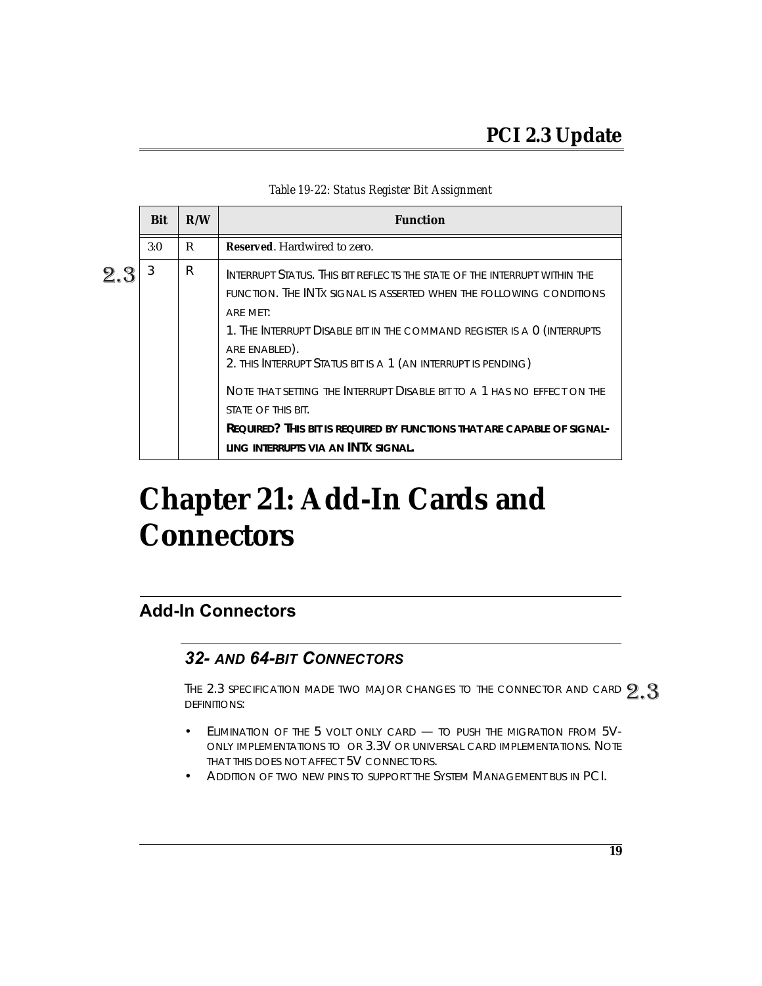| <b>Bit</b> | R/W | <b>Function</b>                                                                                                                                                                                                                                                                                                                                                                                                                                                                                                                                            |
|------------|-----|------------------------------------------------------------------------------------------------------------------------------------------------------------------------------------------------------------------------------------------------------------------------------------------------------------------------------------------------------------------------------------------------------------------------------------------------------------------------------------------------------------------------------------------------------------|
| 3:0        | R.  | <b>Reserved.</b> Hardwired to zero.                                                                                                                                                                                                                                                                                                                                                                                                                                                                                                                        |
| 3          | R   | INTERRUPT STATUS. THIS BIT REFLECTS THE STATE OF THE INTERRUPT WITHIN THE<br>FUNCTION. THE INTX SIGNAL IS ASSERTED WHEN THE FOLLOWING CONDITIONS<br><b>ARE MET:</b><br>1. THE INTERRUPT DISABLE BIT IN THE COMMAND REGISTER IS A 0 (INTERRUPTS<br>ARE ENABLED).<br>2. THIS INTERRUPT STATUS BIT IS A 1 (AN INTERRUPT IS PENDING)<br>NOTE THAT SETTING THE INTERRUPT DISABLE BIT TO A 1 HAS NO EFFECT ON THE<br>STATE OF THIS BIT.<br><b>REQUIRED?</b> THIS BIT IS REQUIRED BY FUNCTIONS THAT ARE CAPABLE OF SIGNAL-<br>LING INTERRUPTS VIA AN INTX SIGNAL. |

#### *Table 19-22: Status Register Bit Assignment*

# **Chapter 21: Add-In Cards and Connectors**

### **Add-In Connectors**

### *32- AND 64-BIT CONNECTORS*

*THE 2.3 SPECIFICATION MADE TWO MAJOR CHANGES TO THE CONNECTOR AND CARD* 2.3*DEFINITIONS:* 

- *ELIMINATION OF THE 5 VOLT ONLY CARD TO PUSH THE MIGRATION FROM 5V-ONLY IMPLEMENTATIONS TO OR 3.3V OR UNIVERSAL CARD IMPLEMENTATIONS. NOTE THAT THIS DOES NOT AFFECT 5V CONNECTORS.*
- *ADDITION OF TWO NEW PINS TO SUPPORT THE SYSTEM MANAGEMENT BUS IN PCI.*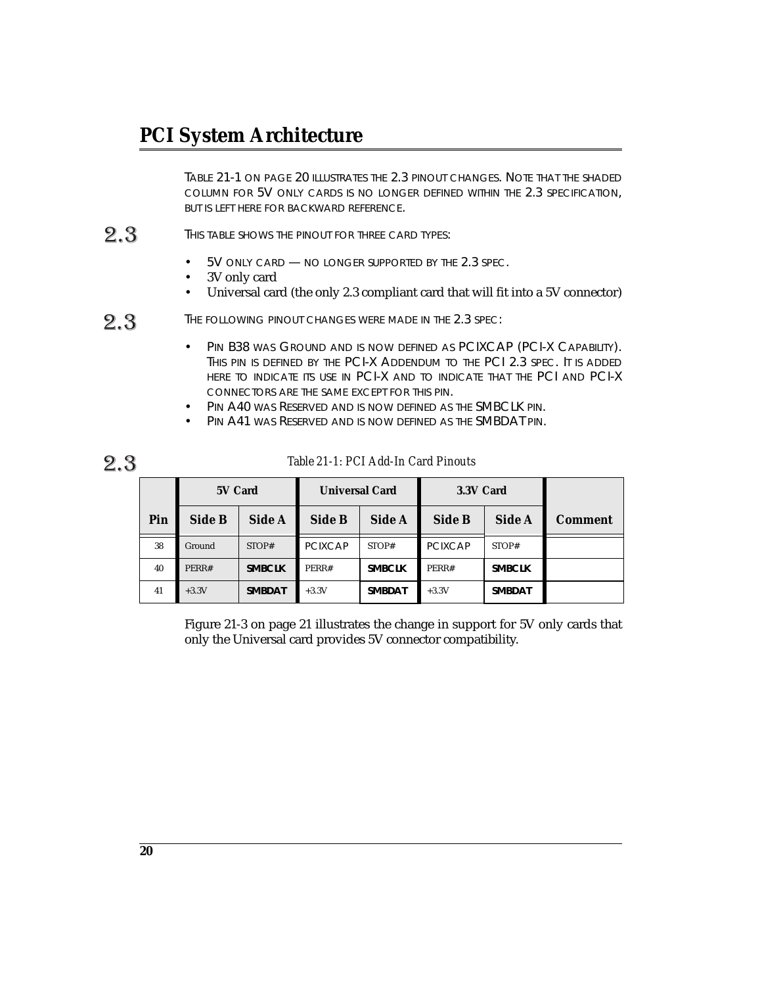*TABLE 21-1 ON PAGE 20 ILLUSTRATES THE 2.3 PINOUT CHANGES. NOTE THAT THE SHADED COLUMN FOR 5V ONLY CARDS IS NO LONGER DEFINED WITHIN THE 2.3 SPECIFICATION, BUT IS LEFT HERE FOR BACKWARD REFERENCE.*

*THIS TABLE SHOWS THE PINOUT FOR THREE CARD TYPES:* 2.3

- *5V ONLY CARD NO LONGER SUPPORTED BY THE 2.3 SPEC.*
- 3V only card
- Universal card (the only 2.3 compliant card that will fit into a 5V connector)

*THE FOLLOWING PINOUT CHANGES WERE MADE IN THE 2.3 SPEC:* 2.3

- *PIN B38 WAS GROUND AND IS NOW DEFINED AS PCIXCAP (PCI-X CAPABILITY). THIS PIN IS DEFINED BY THE PCI-X ADDENDUM TO THE PCI 2.3 SPEC. IT IS ADDED HERE TO INDICATE ITS USE IN PCI-X AND TO INDICATE THAT THE PCI AND PCI-X CONNECTORS ARE THE SAME EXCEPT FOR THIS PIN.*
- *PIN A40 WAS RESERVED AND IS NOW DEFINED AS THE SMBCLK PIN.*
- *PIN A41 WAS RESERVED AND IS NOW DEFINED AS THE SMBDAT PIN.*

|     | 5V Card |               | <b>Universal Card</b> |               | 3.3V Card      |               |                |
|-----|---------|---------------|-----------------------|---------------|----------------|---------------|----------------|
| Pin | Side B  | Side A        | Side B                | Side A        | <b>Side B</b>  | Side A        | <b>Comment</b> |
| 38  | Ground  | STOP#         | <b>PCIXCAP</b>        | STOP#         | <b>PCIXCAP</b> | STOP#         |                |
| 40  | PERR#   | <b>SMBCLK</b> | PERR#                 | <b>SMBCLK</b> | PERR#          | <b>SMBCLK</b> |                |
| 41  | $+3.3V$ | <b>SMBDAT</b> | $+3.3V$               | <b>SMBDAT</b> | $+3.3V$        | <b>SMBDAT</b> |                |

*Table 21-1: PCI Add-In Card Pinouts*

Figure 21-3 on page 21 illustrates the change in support for 5V only cards that only the Universal card provides 5V connector compatibility.

2.3